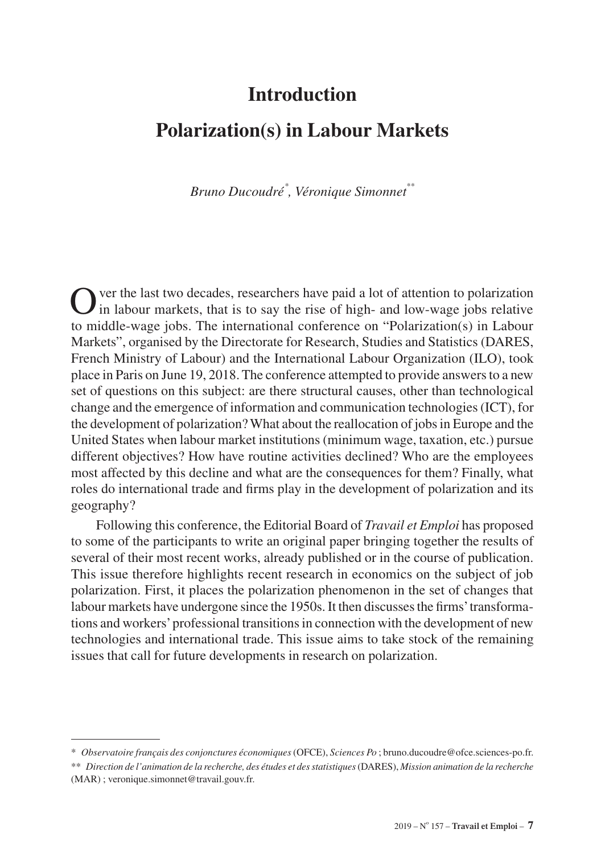# **Introduction**

# **Polarization(s) in Labour Markets**

*Bruno Ducoudré\* , Véronique Simonnet\*\**

Over the last two decades, researchers have paid a lot of attention to polarization in labour markets, that is to say the rise of high- and low-wage jobs relative to middle-wage jobs. The international conference on "Polarization(s) in Labour Markets", organised by the Directorate for Research, Studies and Statistics (DARES, French Ministry of Labour) and the International Labour Organization (ILO), took place in Paris on June 19, 2018. The conference attempted to provide answers to a new set of questions on this subject: are there structural causes, other than technological change and the emergence of information and communication technologies (ICT), for the development of polarization? What about the reallocation of jobs in Europe and the United States when labour market institutions (minimum wage, taxation, etc.) pursue different objectives? How have routine activities declined? Who are the employees most affected by this decline and what are the consequences for them? Finally, what roles do international trade and firms play in the development of polarization and its geography?

Following this conference, the Editorial Board of *Travail et Emploi* has proposed to some of the participants to write an original paper bringing together the results of several of their most recent works, already published or in the course of publication. This issue therefore highlights recent research in economics on the subject of job polarization. First, it places the polarization phenomenon in the set of changes that labour markets have undergone since the 1950s. It then discusses the firms' transformations and workers' professional transitions in connection with the development of new technologies and international trade. This issue aims to take stock of the remaining issues that call for future developments in research on polarization.

<sup>\*</sup> *Observatoire français des conjonctures économiques* (OFCE), *Sciences Po* ; [bruno.ducoudre@ofce.sciences-po.fr](mailto:bruno.ducoudre%40ofce.sciences-po.fr?subject=).

<sup>\*\*</sup> *Direction de l'animation de la recherche, des études et des statistiques* (DARES), *Mission animation de la recherche*  (MAR) ; [veronique.simonnet@travail.gouv.fr](mailto:veronique.simonnet%40travail.gouv.fr?subject=).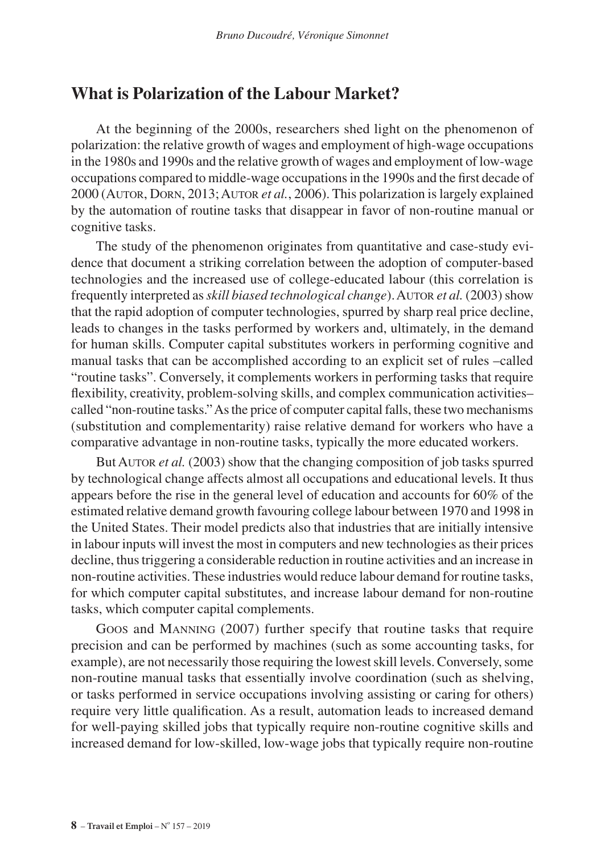### **What is Polarization of the Labour Market?**

At the beginning of the 2000s, researchers shed light on the phenomenon of polarization: the relative growth of wages and employment of high-wage occupations in the 1980s and 1990s and the relative growth of wages and employment of low-wage occupations compared to middle-wage occupations in the 1990s and the first decade of 2000 (Autor, Dorn, 2013; Autor *et al.*, 2006). This polarization is largely explained by the automation of routine tasks that disappear in favor of non-routine manual or cognitive tasks.

The study of the phenomenon originates from quantitative and case-study evidence that document a striking correlation between the adoption of computer-based technologies and the increased use of college-educated labour (this correlation is frequently interpreted as *skill biased technological change*). AUTOR *et al.* (2003) show that the rapid adoption of computer technologies, spurred by sharp real price decline, leads to changes in the tasks performed by workers and, ultimately, in the demand for human skills. Computer capital substitutes workers in performing cognitive and manual tasks that can be accomplished according to an explicit set of rules –called "routine tasks". Conversely, it complements workers in performing tasks that require flexibility, creativity, problem-solving skills, and complex communication activities– called "non-routine tasks." As the price of computer capital falls, these two mechanisms (substitution and complementarity) raise relative demand for workers who have a comparative advantage in non-routine tasks, typically the more educated workers.

But AUTOR *et al.* (2003) show that the changing composition of job tasks spurred by technological change affects almost all occupations and educational levels. It thus appears before the rise in the general level of education and accounts for 60% of the estimated relative demand growth favouring college labour between 1970 and 1998 in the United States. Their model predicts also that industries that are initially intensive in labour inputs will invest the most in computers and new technologies as their prices decline, thus triggering a considerable reduction in routine activities and an increase in non-routine activities. These industries would reduce labour demand for routine tasks, for which computer capital substitutes, and increase labour demand for non-routine tasks, which computer capital complements.

Goos and Manning (2007) further specify that routine tasks that require precision and can be performed by machines (such as some accounting tasks, for example), are not necessarily those requiring the lowest skill levels. Conversely, some non-routine manual tasks that essentially involve coordination (such as shelving, or tasks performed in service occupations involving assisting or caring for others) require very little qualification. As a result, automation leads to increased demand for well-paying skilled jobs that typically require non-routine cognitive skills and increased demand for low-skilled, low-wage jobs that typically require non-routine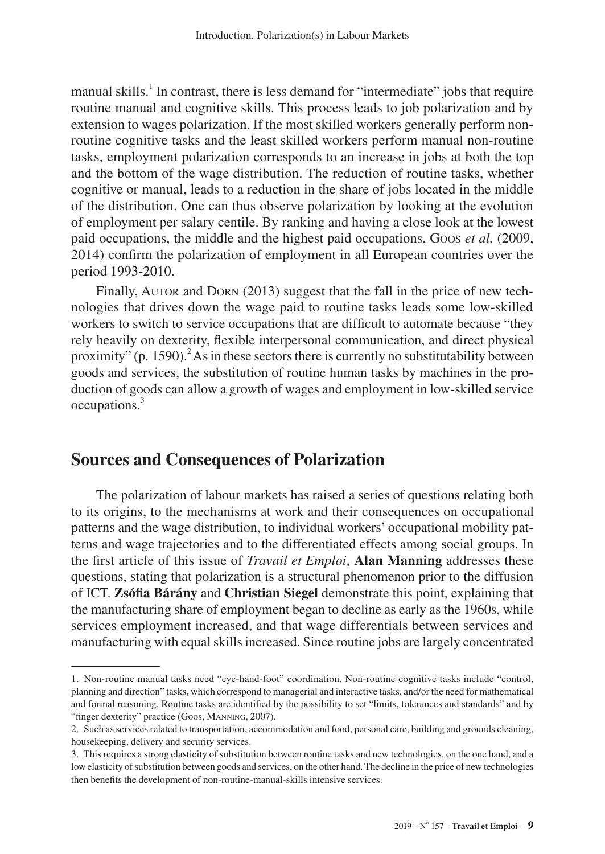manual skills.<sup>1</sup> In contrast, there is less demand for "intermediate" jobs that require routine manual and cognitive skills. This process leads to job polarization and by extension to wages polarization. If the most skilled workers generally perform nonroutine cognitive tasks and the least skilled workers perform manual non-routine tasks, employment polarization corresponds to an increase in jobs at both the top and the bottom of the wage distribution. The reduction of routine tasks, whether cognitive or manual, leads to a reduction in the share of jobs located in the middle of the distribution. One can thus observe polarization by looking at the evolution of employment per salary centile. By ranking and having a close look at the lowest paid occupations, the middle and the highest paid occupations, Goos *et al.* (2009, 2014) confirm the polarization of employment in all European countries over the period 1993-2010.

Finally, AUTOR and DORN (2013) suggest that the fall in the price of new technologies that drives down the wage paid to routine tasks leads some low-skilled workers to switch to service occupations that are difficult to automate because "they rely heavily on dexterity, flexible interpersonal communication, and direct physical proximity" (p. 1590).<sup>2</sup> As in these sectors there is currently no substitutability between goods and services, the substitution of routine human tasks by machines in the production of goods can allow a growth of wages and employment in low-skilled service occupations.3

### **Sources and Consequences of Polarization**

The polarization of labour markets has raised a series of questions relating both to its origins, to the mechanisms at work and their consequences on occupational patterns and the wage distribution, to individual workers' occupational mobility patterns and wage trajectories and to the differentiated effects among social groups. In the first article of this issue of *Travail et Emploi*, **Alan Manning** addresses these questions, stating that polarization is a structural phenomenon prior to the diffusion of ICT. **Zsófia Bárány** and **Christian Siegel** demonstrate this point, explaining that the manufacturing share of employment began to decline as early as the 1960s, while services employment increased, and that wage differentials between services and manufacturing with equal skills increased. Since routine jobs are largely concentrated

<sup>1.</sup> Non-routine manual tasks need "eye-hand-foot" coordination. Non-routine cognitive tasks include "control, planning and direction" tasks, which correspond to managerial and interactive tasks, and/or the need for mathematical and formal reasoning. Routine tasks are identified by the possibility to set "limits, tolerances and standards" and by "finger dexterity" practice (Goos, MANNING, 2007).

<sup>2.</sup> Such as services related to transportation, accommodation and food, personal care, building and grounds cleaning, housekeeping, delivery and security services.

<sup>3.</sup> This requires a strong elasticity of substitution between routine tasks and new technologies, on the one hand, and a low elasticity of substitution between goods and services, on the other hand. The decline in the price of new technologies then benefits the development of non-routine-manual-skills intensive services.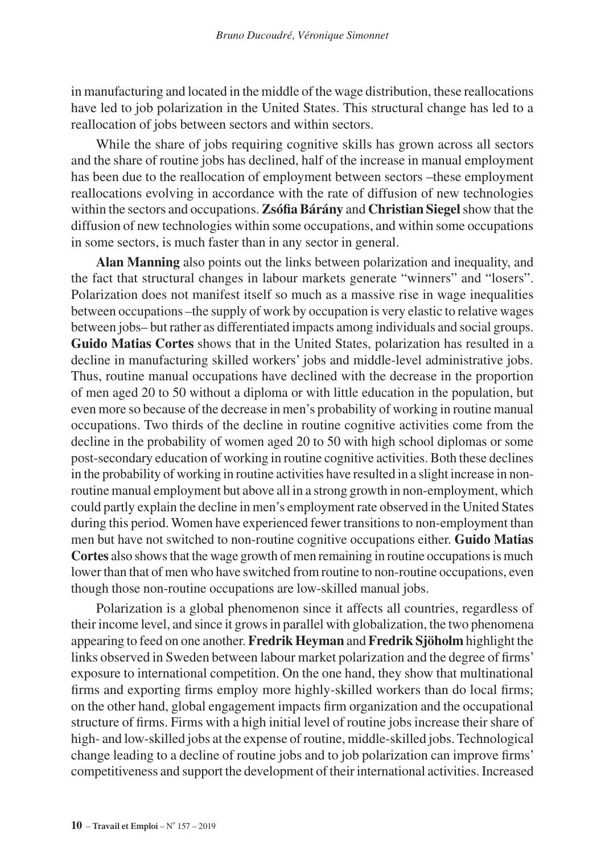in manufacturing and located in the middle of the wage distribution, these reallocations have led to job polarization in the United States. This structural change has led to a reallocation of jobs between sectors and within sectors.

While the share of jobs requiring cognitive skills has grown across all sectors and the share of routine jobs has declined, half of the increase in manual employment has been due to the reallocation of employment between sectors –these employment reallocations evolving in accordance with the rate of diffusion of new technologies within the sectors and occupations. **ZsófiaBárány** and **Christian Siegel** show that the diffusion of new technologies within some occupations, and within some occupations in some sectors, is much faster than in any sector in general.

**Alan Manning** also points out the links between polarization and inequality, and the fact that structural changes in labour markets generate "winners" and "losers". Polarization does not manifest itself so much as a massive rise in wage inequalities between occupations –the supply of work by occupation is very elastic to relative wages between jobs– but rather as differentiated impacts among individuals and social groups. **Guido Matias Cortes** shows that in the United States, polarization has resulted in a decline in manufacturing skilled workers' jobs and middle-level administrative jobs. Thus, routine manual occupations have declined with the decrease in the proportion of men aged 20 to 50 without a diploma or with little education in the population, but even more so because of the decrease in men's probability of working in routine manual occupations. Two thirds of the decline in routine cognitive activities come from the decline in the probability of women aged 20 to 50 with high school diplomas or some post-secondary education of working in routine cognitive activities. Both these declines in the probability of working in routine activities have resulted in a slight increase in nonroutine manual employment but above all in a strong growth in non-employment, which could partly explain the decline in men's employment rate observed in the United States during this period. Women have experienced fewer transitions to non-employment than men but have not switched to non-routine cognitive occupations either. **Guido Matias Cortes** also shows that the wage growth of men remaining in routine occupations is much lower than that of men who have switched from routine to non-routine occupations, even though those non-routine occupations are low-skilled manual jobs.

Polarization is a global phenomenon since it affects all countries, regardless of their income level, and since it grows in parallel with globalization, the two phenomena appearing to feed on one another. **Fredrik Heyman** and **Fredrik Sjöholm** highlight the links observed in Sweden between labour market polarization and the degree of firms' exposure to international competition. On the one hand, they show that multinational firms and exporting firms employ more highly-skilled workers than do local firms; on the other hand, global engagement impacts firm organization and the occupational structure of firms. Firms with a high initial level of routine jobs increase their share of high- and low-skilled jobs at the expense of routine, middle-skilled jobs. Technological change leading to a decline of routine jobs and to job polarization can improve firms' competitiveness and support the development of their international activities. Increased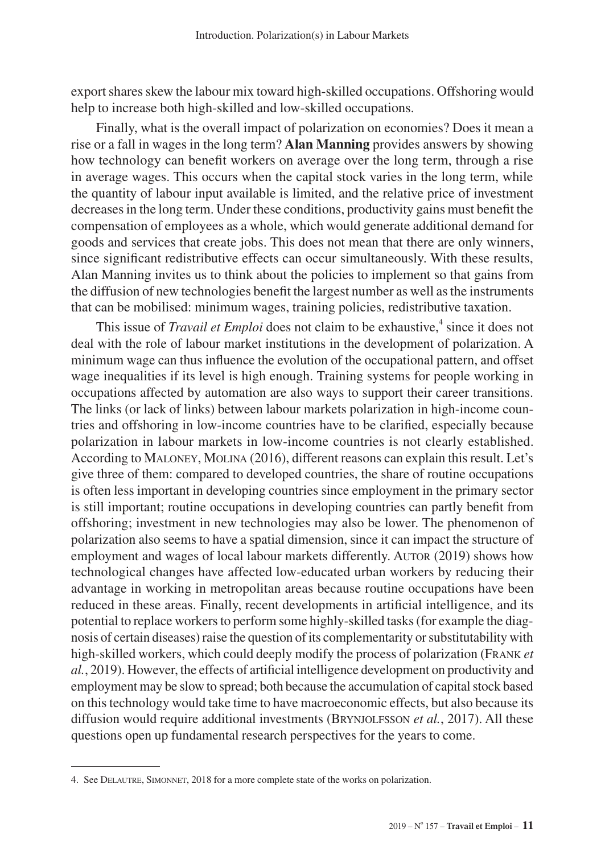export shares skew the labour mix toward high-skilled occupations. Offshoring would help to increase both high-skilled and low-skilled occupations.

Finally, what is the overall impact of polarization on economies? Does it mean a rise or a fall in wages in the long term? **Alan Manning** provides answers by showing how technology can benefit workers on average over the long term, through a rise in average wages. This occurs when the capital stock varies in the long term, while the quantity of labour input available is limited, and the relative price of investment decreases in the long term. Under these conditions, productivity gains must benefit the compensation of employees as a whole, which would generate additional demand for goods and services that create jobs. This does not mean that there are only winners, since significant redistributive effects can occur simultaneously. With these results, Alan Manning invites us to think about the policies to implement so that gains from the diffusion of new technologies benefit the largest number as well as the instruments that can be mobilised: minimum wages, training policies, redistributive taxation.

This issue of *Travail et Emploi* does not claim to be exhaustive,<sup>4</sup> since it does not deal with the role of labour market institutions in the development of polarization. A minimum wage can thus influence the evolution of the occupational pattern, and offset wage inequalities if its level is high enough. Training systems for people working in occupations affected by automation are also ways to support their career transitions. The links (or lack of links) between labour markets polarization in high-income countries and offshoring in low-income countries have to be clarified, especially because polarization in labour markets in low-income countries is not clearly established. According to Maloney, Molina (2016), different reasons can explain this result. Let's give three of them: compared to developed countries, the share of routine occupations is often less important in developing countries since employment in the primary sector is still important; routine occupations in developing countries can partly benefit from offshoring; investment in new technologies may also be lower. The phenomenon of polarization also seems to have a spatial dimension, since it can impact the structure of employment and wages of local labour markets differently. AUTOR (2019) shows how technological changes have affected low-educated urban workers by reducing their advantage in working in metropolitan areas because routine occupations have been reduced in these areas. Finally, recent developments in artificial intelligence, and its potential to replace workers to perform some highly-skilled tasks (for example the diagnosis of certain diseases) raise the question of its complementarity or substitutability with high-skilled workers, which could deeply modify the process of polarization (Frank *et al.*, 2019). However, the effects of artificial intelligence development on productivity and employment may be slow to spread; both because the accumulation of capital stock based on this technology would take time to have macroeconomic effects, but also because its diffusion would require additional investments (BRYNJOLFSSON *et al.*, 2017). All these questions open up fundamental research perspectives for the years to come.

<sup>4.</sup> See Delautre, Simonnet, 2018 for a more complete state of the works on polarization.